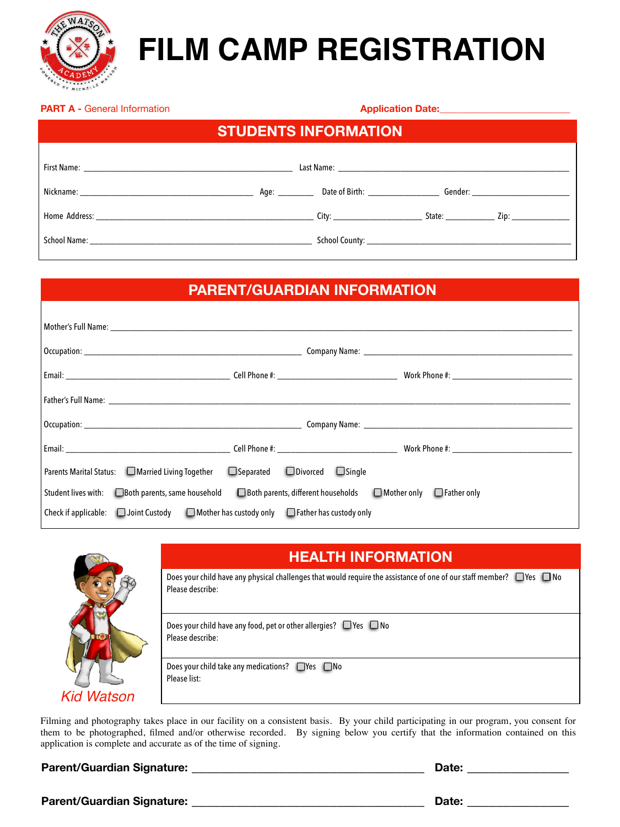

# **FILM CAMP REGISTRATION**

**PART A - General Information** 

**Application Date:\_\_\_\_\_\_\_\_\_\_\_\_\_\_\_\_\_\_\_\_\_\_\_\_\_\_\_**

| <b>STUDENTS INFORMATION</b> |  |  |  |  |  |  |  |
|-----------------------------|--|--|--|--|--|--|--|
|                             |  |  |  |  |  |  |  |
|                             |  |  |  |  |  |  |  |
|                             |  |  |  |  |  |  |  |
|                             |  |  |  |  |  |  |  |

# **PARENT/GUARDIAN INFORMATION**

| Email: North Phone #: Cell Phone #: 2008 Cell Phone #: 2008 Work Phone #: 2008 Work Phone #:                                               |
|--------------------------------------------------------------------------------------------------------------------------------------------|
| $\Box$ Separated $\Box$ Divorced $\Box$ Single<br>Parents Marital Status: □ Married Living Together                                        |
| $\Box$ Both parents, different households $\Box$ Mother only $\Box$ Father only<br>Student lives with: $\Box$ Both parents, same household |
| Check if applicable: $\Box$ Joint Custody $\Box$ Mother has custody only $\Box$ Father has custody only                                    |



Filming and photography takes place in our facility on a consistent basis. By your child participating in our program, you consent for them to be photographed, filmed and/or otherwise recorded. By signing below you certify that the information contained on this application is complete and accurate as of the time of signing.

**Parent/Guardian Signature: \_\_\_\_\_\_\_\_\_\_\_\_\_\_\_\_\_\_\_\_\_\_\_\_\_\_\_\_\_\_\_\_ Date: \_\_\_\_\_\_\_\_\_\_\_\_\_\_**

Parent/Guardian Signature: **Parent/Guardian Signature:**